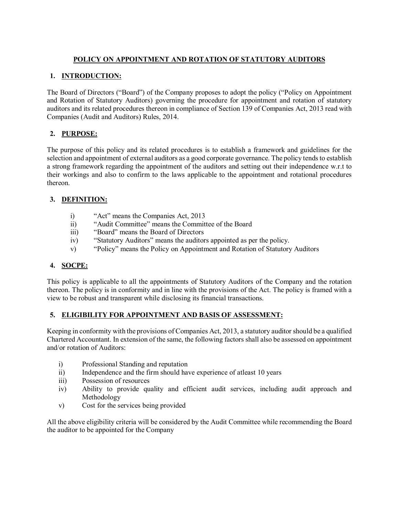## **POLICY ON APPOINTMENT AND ROTATION OF STATUTORY AUDITORS**

## **1. INTRODUCTION:**

The Board of Directors ("Board") of the Company proposes to adopt the policy ("Policy on Appointment and Rotation of Statutory Auditors) governing the procedure for appointment and rotation of statutory auditors and its related procedures thereon in compliance of Section 139 of Companies Act, 2013 read with Companies (Audit and Auditors) Rules, 2014.

# **2. PURPOSE:**

The purpose of this policy and its related procedures is to establish a framework and guidelines for the selection and appointment of external auditors as a good corporate governance. The policy tends to establish a strong framework regarding the appointment of the auditors and setting out their independence w.r.t to their workings and also to confirm to the laws applicable to the appointment and rotational procedures thereon.

# **3. DEFINITION:**

- i) "Act" means the Companies Act, 2013
- ii) "Audit Committee" means the Committee of the Board
- iii) "Board" means the Board of Directors
- iv) "Statutory Auditors" means the auditors appointed as per the policy.
- v) "Policy" means the Policy on Appointment and Rotation of Statutory Auditors

## **4. SOCPE:**

This policy is applicable to all the appointments of Statutory Auditors of the Company and the rotation thereon. The policy is in conformity and in line with the provisions of the Act. The policy is framed with a view to be robust and transparent while disclosing its financial transactions.

## **5. ELIGIBILITY FOR APPOINTMENT AND BASIS OF ASSESSMENT:**

Keeping in conformity with the provisions of Companies Act, 2013, a statutory auditor should be a qualified Chartered Accountant. In extension of the same, the following factors shall also be assessed on appointment and/or rotation of Auditors:

- i) Professional Standing and reputation
- ii) Independence and the firm should have experience of atleast 10 years
- iii) Possession of resources
- iv) Ability to provide quality and efficient audit services, including audit approach and Methodology
- v) Cost for the services being provided

All the above eligibility criteria will be considered by the Audit Committee while recommending the Board the auditor to be appointed for the Company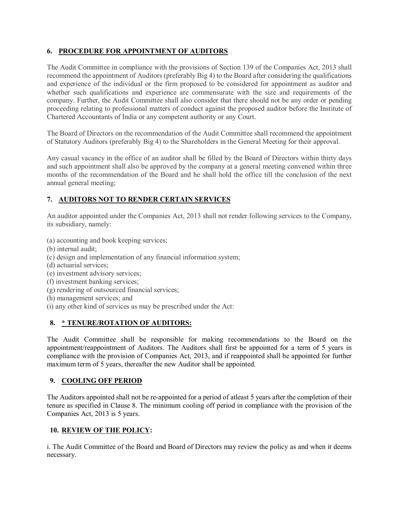### **6. PROCEDURE FOR APPOINTMENT OF AUDITORS**

The Audit Committee in compliance with the provisions of Section 139 of the Companies Act, 2013 shall recommend the appointment of Auditors (preferably Big 4) to the Board after considering the qualifications and experience of the individual or the firm proposed to be considered for appointment as auditor and whether such qualifications and experience are commensurate with the size and requirements of the company. Further, the Audit Committee shall also consider that there should not be any order or pending proceeding relating to professional matters of conduct against the proposed auditor before the Institute of Chartered Accountants of India or any competent authority or any Court.

The Board of Directors on the recommendation of the Audit Committee shall recommend the appointment of Statutory Auditors (preferably Big 4) to the Shareholders in the General Meeting for their approval.

Any casual vacancy in the office of an auditor shall be filled by the Board of Directors within thirty days and such appointment shall also be approved by the company at a general meeting convened within three months of the recommendation of the Board and he shall hold the office till the conclusion of the next annual general meeting;

## **7. AUDITORS NOT TO RENDER CERTAIN SERVICES**

An auditor appointed under the Companies Act, 2013 shall not render following services to the Company, its subsidiary, namely:

- (a) accounting and book keeping services;
- (b) internal audit;
- (c) design and implementation of any financial information system;
- (d) actuarial services;
- (e) investment advisory services;
- (f) investment banking services;
- (g) rendering of outsourced financial services;
- (h) management services; and
- (i) any other kind of services as may be prescribed under the Act:

### **8. \* TENURE/ROTATION OF AUDITORS:**

The Audit Committee shall be responsible for making recommendations to the Board on the appointment/reappointment of Auditors. The Auditors shall first be appointed for a term of 5 years in compliance with the provision of Companies Act, 2013, and if reappointed shall be appointed for further maximum term of 5 years, thereafter the new Auditor shall be appointed.

### **9. COOLING OFF PERIOD**

The Auditors appointed shall not be re-appointed for a period of atleast 5 years after the completion of their tenure as specified in Clause 8. The minimum cooling off period in compliance with the provision of the Companies Act, 2013 is 5 years.

#### **10. REVIEW OF THE POLICY:**

i. The Audit Committee of the Board and Board of Directors may review the policy as and when it deems necessary.